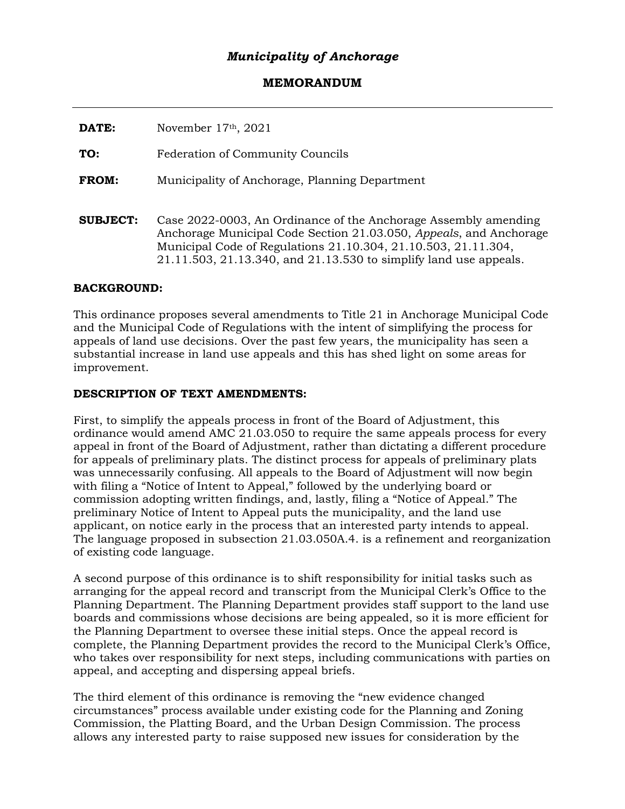## *Municipality of Anchorage*

## **MEMORANDUM**

**DATE:** November 17th, 2021

**TO:** Federation of Community Councils

**FROM:** Municipality of Anchorage, Planning Department

**SUBJECT:** Case 2022-0003, An Ordinance of the Anchorage Assembly amending Anchorage Municipal Code Section 21.03.050, *Appeals*, and Anchorage Municipal Code of Regulations 21.10.304, 21.10.503, 21.11.304, 21.11.503, 21.13.340, and 21.13.530 to simplify land use appeals.

## **BACKGROUND:**

This ordinance proposes several amendments to Title 21 in Anchorage Municipal Code and the Municipal Code of Regulations with the intent of simplifying the process for appeals of land use decisions. Over the past few years, the municipality has seen a substantial increase in land use appeals and this has shed light on some areas for improvement.

## **DESCRIPTION OF TEXT AMENDMENTS:**

First, to simplify the appeals process in front of the Board of Adjustment, this ordinance would amend AMC 21.03.050 to require the same appeals process for every appeal in front of the Board of Adjustment, rather than dictating a different procedure for appeals of preliminary plats. The distinct process for appeals of preliminary plats was unnecessarily confusing. All appeals to the Board of Adjustment will now begin with filing a "Notice of Intent to Appeal," followed by the underlying board or commission adopting written findings, and, lastly, filing a "Notice of Appeal." The preliminary Notice of Intent to Appeal puts the municipality, and the land use applicant, on notice early in the process that an interested party intends to appeal. The language proposed in subsection 21.03.050A.4. is a refinement and reorganization of existing code language.

A second purpose of this ordinance is to shift responsibility for initial tasks such as arranging for the appeal record and transcript from the Municipal Clerk's Office to the Planning Department. The Planning Department provides staff support to the land use boards and commissions whose decisions are being appealed, so it is more efficient for the Planning Department to oversee these initial steps. Once the appeal record is complete, the Planning Department provides the record to the Municipal Clerk's Office, who takes over responsibility for next steps, including communications with parties on appeal, and accepting and dispersing appeal briefs.

The third element of this ordinance is removing the "new evidence changed circumstances" process available under existing code for the Planning and Zoning Commission, the Platting Board, and the Urban Design Commission. The process allows any interested party to raise supposed new issues for consideration by the